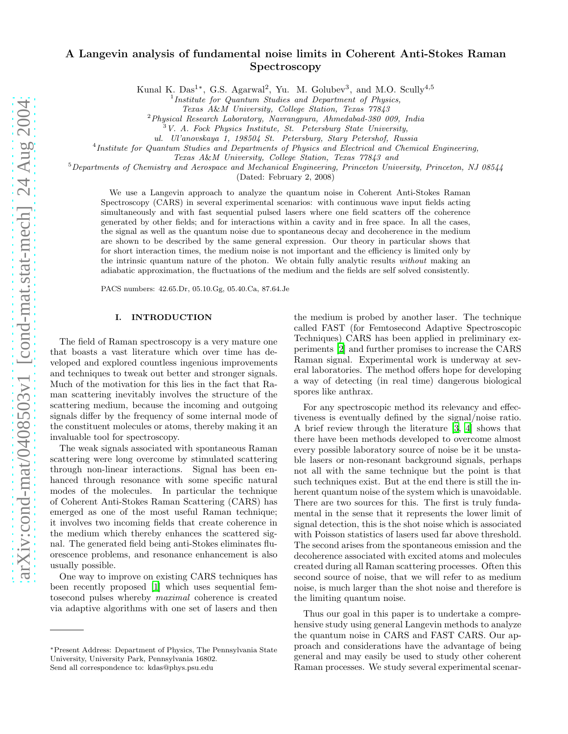# A Langevin analysis of fundamental noise limits in Coherent Anti-Stokes Raman Spectroscopy

Kunal K. Das<sup>1\*</sup>, G.S. Agarwal<sup>2</sup>, Yu. M. Golubev<sup>3</sup>, and M.O. Scully<sup>4,5</sup>

<sup>1</sup> Institute for Quantum Studies and Department of Physics,

Texas A&M University, College Station, Texas 77843

 $^{2}$ Physical Research Laboratory, Navrangpura, Ahmedabad-380 009, India

<sup>3</sup>V. A. Fock Physics Institute, St. Petersburg State University,

ul. Ul'anovskaya 1, 198504 St. Petersburg, Stary Petershof, Russia

<sup>4</sup> Institute for Quantum Studies and Departments of Physics and Electrical and Chemical Engineering,

Texas A&M University, College Station, Texas 77843 and

 $5$ Departments of Chemistry and Aerospace and Mechanical Engineering, Princeton University, Princeton, NJ 08544

(Dated: February 2, 2008)

We use a Langevin approach to analyze the quantum noise in Coherent Anti-Stokes Raman Spectroscopy (CARS) in several experimental scenarios: with continuous wave input fields acting simultaneously and with fast sequential pulsed lasers where one field scatters off the coherence generated by other fields; and for interactions within a cavity and in free space. In all the cases, the signal as well as the quantum noise due to spontaneous decay and decoherence in the medium are shown to be described by the same general expression. Our theory in particular shows that for short interaction times, the medium noise is not important and the efficiency is limited only by the intrinsic quantum nature of the photon. We obtain fully analytic results without making an adiabatic approximation, the fluctuations of the medium and the fields are self solved consistently.

PACS numbers: 42.65.Dr, 05.10.Gg, 05.40.Ca, 87.64.Je

#### I. INTRODUCTION

The field of Raman spectroscopy is a very mature one that boasts a vast literature which over time has developed and explored countless ingenious improvements and techniques to tweak out better and stronger signals. Much of the motivation for this lies in the fact that Raman scattering inevitably involves the structure of the scattering medium, because the incoming and outgoing signals differ by the frequency of some internal mode of the constituent molecules or atoms, thereby making it an invaluable tool for spectroscopy.

The weak signals associated with spontaneous Raman scattering were long overcome by stimulated scattering through non-linear interactions. Signal has been enhanced through resonance with some specific natural modes of the molecules. In particular the technique of Coherent Anti-Stokes Raman Scattering (CARS) has emerged as one of the most useful Raman technique; it involves two incoming fields that create coherence in the medium which thereby enhances the scattered signal. The generated field being anti-Stokes eliminates fluorescence problems, and resonance enhancement is also usually possible.

One way to improve on existing CARS techniques has been recently proposed [\[1\]](#page-11-0) which uses sequential femtosecond pulses whereby maximal coherence is created via adaptive algorithms with one set of lasers and then

Send all correspondence to: kdas@phys.psu.edu

the medium is probed by another laser. The technique called FAST (for Femtosecond Adaptive Spectroscopic Techniques) CARS has been applied in preliminary experiments [\[2](#page-11-1)] and further promises to increase the CARS Raman signal. Experimental work is underway at several laboratories. The method offers hope for developing a way of detecting (in real time) dangerous biological spores like anthrax.

For any spectroscopic method its relevancy and effectiveness is eventually defined by the signal/noise ratio. A brief review through the literature [\[3,](#page-11-2) [4](#page-11-3)] shows that there have been methods developed to overcome almost every possible laboratory source of noise be it be unstable lasers or non-resonant background signals, perhaps not all with the same technique but the point is that such techniques exist. But at the end there is still the inherent quantum noise of the system which is unavoidable. There are two sources for this. The first is truly fundamental in the sense that it represents the lower limit of signal detection, this is the shot noise which is associated with Poisson statistics of lasers used far above threshold. The second arises from the spontaneous emission and the decoherence associated with excited atoms and molecules created during all Raman scattering processes. Often this second source of noise, that we will refer to as medium noise, is much larger than the shot noise and therefore is the limiting quantum noise.

Thus our goal in this paper is to undertake a comprehensive study using general Langevin methods to analyze the quantum noise in CARS and FAST CARS. Our approach and considerations have the advantage of being general and may easily be used to study other coherent Raman processes. We study several experimental scenar-

<sup>∗</sup>Present Address: Department of Physics, The Pennsylvania State University, University Park, Pennsylvania 16802.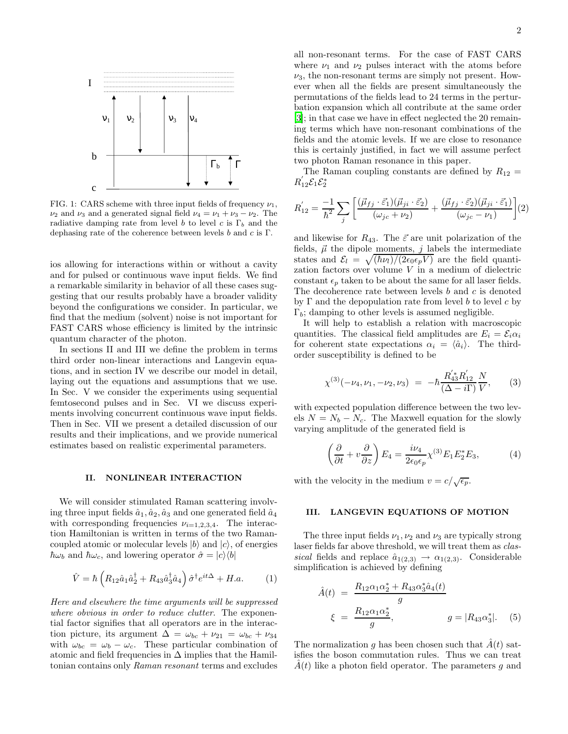

FIG. 1: CARS scheme with three input fields of frequency  $\nu_1$ ,  $\nu_2$  and  $\nu_3$  and a generated signal field  $\nu_4 = \nu_1 + \nu_3 - \nu_2$ . The radiative damping rate from level b to level c is  $\Gamma_b$  and the dephasing rate of the coherence between levels  $b$  and  $c$  is  $\Gamma$ .

ios allowing for interactions within or without a cavity and for pulsed or continuous wave input fields. We find a remarkable similarity in behavior of all these cases suggesting that our results probably have a broader validity beyond the configurations we consider. In particular, we find that the medium (solvent) noise is not important for FAST CARS whose efficiency is limited by the intrinsic quantum character of the photon.

In sections II and III we define the problem in terms third order non-linear interactions and Langevin equations, and in section IV we describe our model in detail, laying out the equations and assumptions that we use. In Sec. V we consider the experiments using sequential femtosecond pulses and in Sec. VI we discuss experiments involving concurrent continuous wave input fields. Then in Sec. VII we present a detailed discussion of our results and their implications, and we provide numerical estimates based on realistic experimental parameters.

### II. NONLINEAR INTERACTION

We will consider stimulated Raman scattering involving three input fields  $\hat{a}_1, \hat{a}_2, \hat{a}_3$  and one generated field  $\hat{a}_4$ with corresponding frequencies  $\nu_{i=1,2,3,4}$ . The interaction Hamiltonian is written in terms of the two Ramancoupled atomic or molecular levels  $|b\rangle$  and  $|c\rangle$ , of energies  $\hbar\omega_b$  and  $\hbar\omega_c$ , and lowering operator  $\hat{\sigma} = |c\rangle\langle b|$ 

$$
\hat{V} = \hbar \left( R_{12} \hat{a}_1 \hat{a}_2^{\dagger} + R_{43} \hat{a}_3^{\dagger} \hat{a}_4 \right) \hat{\sigma}^{\dagger} e^{it\Delta} + H.a. \tag{1}
$$

<span id="page-1-0"></span>Here and elsewhere the time arguments will be suppressed where obvious in order to reduce clutter. The exponential factor signifies that all operators are in the interaction picture, its argument  $\Delta = \omega_{bc} + \nu_{21} = \omega_{bc} + \nu_{34}$ with  $\omega_{bc} = \omega_b - \omega_c$ . These particular combination of atomic and field frequencies in  $\Delta$  implies that the Hamiltonian contains only Raman resonant terms and excludes

all non-resonant terms. For the case of FAST CARS where  $\nu_1$  and  $\nu_2$  pulses interact with the atoms before  $\nu_3$ , the non-resonant terms are simply not present. However when all the fields are present simultaneously the permutations of the fields lead to 24 terms in the perturbation expansion which all contribute at the same order [\[3\]](#page-11-2); in that case we have in effect neglected the 20 remaining terms which have non-resonant combinations of the fields and the atomic levels. If we are close to resonance this is certainly justified, in fact we will assume perfect two photon Raman resonance in this paper.

The Raman coupling constants are defined by  $R_{12}$  =  $R_{12}^{\prime} \mathcal{E}_1 \mathcal{E}_2^*$ 

<span id="page-1-1"></span>
$$
R'_{12} = \frac{-1}{\hbar^2} \sum_{j} \left[ \frac{(\vec{\mu}_{fj} \cdot \vec{\varepsilon}_{1})(\vec{\mu}_{ji} \cdot \vec{\varepsilon}_{2})}{(\omega_{jc} + \nu_{2})} + \frac{(\vec{\mu}_{fj} \cdot \vec{\varepsilon}_{2})(\vec{\mu}_{ji} \cdot \vec{\varepsilon}_{1})}{(\omega_{jc} - \nu_{1})} \right] (2)
$$

and likewise for  $R_{43}$ . The  $\vec{\varepsilon}$  are unit polarization of the fields,  $\vec{\mu}$  the dipole moments,  $j$  labels the intermediate states and  $\mathcal{E}_l = \sqrt{(\hbar \nu_l)/(2\epsilon_0 \epsilon_p V)}$  are the field quantization factors over volume V in a medium of dielectric constant  $\epsilon_p$  taken to be about the same for all laser fields. The decoherence rate between levels  $b$  and  $c$  is denoted by  $\Gamma$  and the depopulation rate from level b to level c by  $\Gamma_b$ ; damping to other levels is assumed negligible.

It will help to establish a relation with macroscopic quantities. The classical field amplitudes are  $E_i = \mathcal{E}_i \alpha_i$ for coherent state expectations  $\alpha_i = \langle \hat{a}_i \rangle$ . The thirdorder susceptibility is defined to be

$$
\chi^{(3)}(-\nu_4, \nu_1, -\nu_2, \nu_3) = -\hbar \frac{R'_{43}R'_{12}}{(\Delta - i\Gamma)}\frac{N}{V},\qquad(3)
$$

<span id="page-1-2"></span>with expected population difference between the two levels  $N = N_b - N_c$ . The Maxwell equation for the slowly varying amplitude of the generated field is

$$
\left(\frac{\partial}{\partial t} + v \frac{\partial}{\partial z}\right) E_4 = \frac{i\nu_4}{2\epsilon_0 \epsilon_p} \chi^{(3)} E_1 E_2^* E_3,\tag{4}
$$

<span id="page-1-3"></span>with the velocity in the medium  $v = c/\sqrt{\epsilon_p}$ .

## III. LANGEVIN EQUATIONS OF MOTION

The three input fields  $\nu_1, \nu_2$  and  $\nu_3$  are typically strong laser fields far above threshold, we will treat them as classical fields and replace  $\hat{a}_{1(2,3)} \rightarrow \alpha_{1(2,3)}$ . Considerable simplification is achieved by defining

$$
\hat{A}(t) = \frac{R_{12}\alpha_1\alpha_2^* + R_{43}\alpha_3^*\hat{a}_4(t)}{g}
$$
  

$$
\xi = \frac{R_{12}\alpha_1\alpha_2^*}{g}, \qquad g = |R_{43}\alpha_3^*|.
$$
 (5)

<span id="page-1-4"></span>The normalization g has been chosen such that  $A(t)$  satisfies the boson commutation rules. Thus we can treat  $A(t)$  like a photon field operator. The parameters g and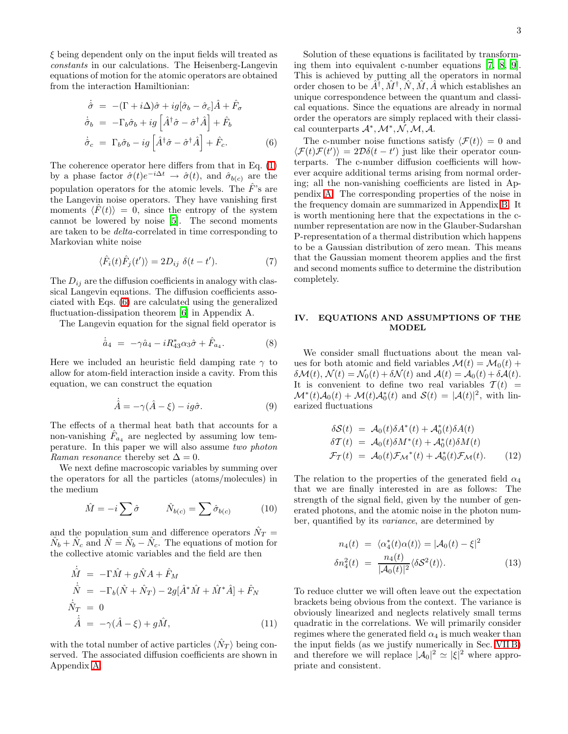<span id="page-2-0"></span> $\xi$  being dependent only on the input fields will treated as constants in our calculations. The Heisenberg-Langevin equations of motion for the atomic operators are obtained from the interaction Hamiltionian:

$$
\dot{\hat{\sigma}} = -(\Gamma + i\Delta)\hat{\sigma} + ig[\hat{\sigma}_b - \hat{\sigma}_c]\hat{A} + \hat{F}_{\sigma}
$$
  

$$
\dot{\hat{\sigma}}_b = -\Gamma_b \hat{\sigma}_b + ig[\hat{A}^\dagger \hat{\sigma} - \hat{\sigma}^\dagger \hat{A}] + \hat{F}_b
$$
  

$$
\dot{\hat{\sigma}}_c = \Gamma_b \hat{\sigma}_b - ig[\hat{A}^\dagger \hat{\sigma} - \hat{\sigma}^\dagger \hat{A}] + \hat{F}_c.
$$
 (6)

The coherence operator here differs from that in Eq. [\(1\)](#page-1-0) by a phase factor  $\hat{\sigma}(t)e^{-i\Delta t} \to \hat{\sigma}(t)$ , and  $\hat{\sigma}_{b(c)}$  are the population operators for the atomic levels. The  $\hat{F}$ 's are the Langevin noise operators. They have vanishing first moments  $\langle F(t) \rangle = 0$ , since the entropy of the system cannot be lowered by noise [\[5](#page-11-4)]. The second moments are taken to be delta-correlated in time corresponding to Markovian white noise

$$
\langle \hat{F}_i(t)\hat{F}_j(t')\rangle = 2D_{ij} \delta(t - t'). \tag{7}
$$

The  $D_{ij}$  are the diffusion coefficients in analogy with classical Langevin equations. The diffusion coefficients associated with Eqs. [\(6\)](#page-2-0) are calculated using the generalized fluctuation-dissipation theorem [\[6\]](#page-11-5) in Appendix A.

The Langevin equation for the signal field operator is

$$
\dot{\hat{a}}_4 = -\gamma \hat{a}_4 - i R_{43}^* \alpha_3 \hat{\sigma} + \hat{F}_{a_4}.
$$
 (8)

Here we included an heuristic field damping rate  $\gamma$  to allow for atom-field interaction inside a cavity. From this equation, we can construct the equation

$$
\dot{\hat{A}} = -\gamma(\hat{A} - \xi) - ig\hat{\sigma}.
$$
\n(9)

The effects of a thermal heat bath that accounts for a non-vanishing  $\hat{F}_{a_4}$  are neglected by assuming low temperature. In this paper we will also assume two photon Raman resonance thereby set  $\Delta = 0$ .

We next define macroscopic variables by summing over the operators for all the particles (atoms/molecules) in the medium

$$
\hat{M} = -i \sum \hat{\sigma} \qquad \hat{N}_{b(c)} = \sum \hat{\sigma}_{b(c)} \qquad (10)
$$

<span id="page-2-1"></span>and the population sum and difference operators  $\hat{N}_T$  =  $\hat{N}_b + \hat{N}_c$  and  $\hat{N} = \hat{N}_b - \hat{N}_c$ . The equations of motion for the collective atomic variables and the field are then

$$
\dot{\hat{M}} = -\Gamma \hat{M} + g \hat{N} A + \hat{F}_M
$$
\n
$$
\dot{\hat{N}} = -\Gamma_b (\hat{N} + \hat{N}_T) - 2g[\hat{A}^* \hat{M} + \hat{M}^* \hat{A}] + \hat{F}_N
$$
\n
$$
\dot{\hat{N}}_T = 0
$$
\n
$$
\dot{\hat{A}} = -\gamma (\hat{A} - \xi) + g \hat{M},
$$
\n(11)

with the total number of active particles  $\langle \hat{N}_T \rangle$  being conserved. The associated diffusion coefficients are shown in Appendix [A.](#page-9-0)

Solution of these equations is facilitated by transforming them into equivalent c-number equations [\[7](#page-11-6), [8,](#page-11-7) [9\]](#page-11-8). This is achieved by putting all the operators in normal order chosen to be  $\hat{A}^{\dagger}$ ,  $\hat{M}^{\dagger}$ ,  $\hat{N}$ ,  $\hat{M}$ ,  $\hat{A}$  which establishes an unique correspondence between the quantum and classical equations. Since the equations are already in normal order the operators are simply replaced with their classical counterparts  $\mathcal{A}^*, \mathcal{M}^*, \mathcal{N}, \mathcal{M}, \mathcal{A}.$ 

The c-number noise functions satisfy  $\langle \mathcal{F}(t) \rangle = 0$  and  $\langle \mathcal{F}(t)\mathcal{F}(t') \rangle = 2\mathcal{D}\delta(t-t')$  just like their operator counterparts. The c-number diffusion coefficients will however acquire additional terms arising from normal ordering; all the non-vanishing coefficients are listed in Appendix [A.](#page-9-0) The corresponding properties of the noise in the frequency domain are summarized in Appendix [B.](#page-9-1) It is worth mentioning here that the expectations in the cnumber representation are now in the Glauber-Sudarshan P-representation of a thermal distribution which happens to be a Gaussian distribution of zero mean. This means that the Gaussian moment theorem applies and the first and second moments suffice to determine the distribution completely.

## IV. EQUATIONS AND ASSUMPTIONS OF THE MODEL

We consider small fluctuations about the mean values for both atomic and field variables  $\mathcal{M}(t) = \mathcal{M}_0(t) +$  $\delta \mathcal{M}(t)$ ,  $\mathcal{N}(t) = \mathcal{N}_0(t) + \delta \mathcal{N}(t)$  and  $\mathcal{A}(t) = \mathcal{A}_0(t) + \delta \mathcal{A}(t)$ . It is convenient to define two real variables  $T(t)$  =  $\mathcal{M}^*(t) \mathcal{A}_0(t) + \mathcal{M}(t) \mathcal{A}_0^*(t)$  and  $\mathcal{S}(t) = |\mathcal{A}(t)|^2$ , with linearized fluctuations

$$
\delta S(t) = A_0(t)\delta A^*(t) + A_0^*(t)\delta A(t)
$$
  
\n
$$
\delta T(t) = A_0(t)\delta M^*(t) + A_0^*(t)\delta M(t)
$$
  
\n
$$
\mathcal{F}_T(t) = A_0(t)\mathcal{F}_{\mathcal{M}}^*(t) + A_0^*(t)\mathcal{F}_{\mathcal{M}}(t).
$$
 (12)

The relation to the properties of the generated field  $\alpha_4$ that we are finally interested in are as follows: The strength of the signal field, given by the number of generated photons, and the atomic noise in the photon number, quantified by its variance, are determined by

$$
n_4(t) = \langle \alpha_4^*(t)\alpha(t) \rangle = |\mathcal{A}_0(t) - \xi|^2
$$
  

$$
\delta n_4^2(t) = \frac{n_4(t)}{|\mathcal{A}_0(t)|^2} \langle \delta \mathcal{S}^2(t) \rangle.
$$
 (13)

To reduce clutter we will often leave out the expectation brackets being obvious from the context. The variance is obviously linearized and neglects relatively small terms quadratic in the correlations. We will primarily consider regimes where the generated field  $\alpha_4$  is much weaker than the input fields (as we justify numerically in Sec. [VII B\)](#page-7-0) and therefore we will replace  $|\mathcal{A}_0|^2 \simeq |\xi|^2$  where appropriate and consistent.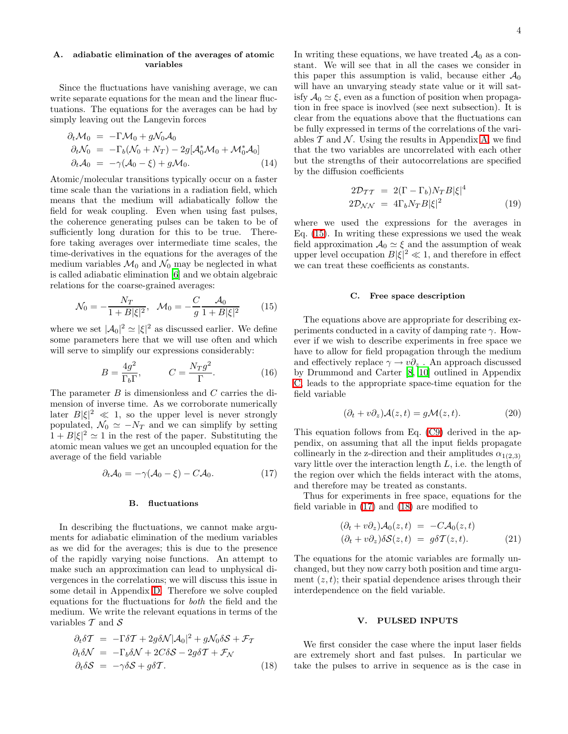## A. adiabatic elimination of the averages of atomic variables

Since the fluctuations have vanishing average, we can write separate equations for the mean and the linear fluctuations. The equations for the averages can be had by simply leaving out the Langevin forces

$$
\partial_t \mathcal{M}_0 = -\Gamma \mathcal{M}_0 + g \mathcal{N}_0 \mathcal{A}_0
$$
  
\n
$$
\partial_t \mathcal{N}_0 = -\Gamma_b (\mathcal{N}_0 + N_T) - 2g[\mathcal{A}_0^* \mathcal{M}_0 + \mathcal{M}_0^* \mathcal{A}_0]
$$
  
\n
$$
\partial_t \mathcal{A}_0 = -\gamma (\mathcal{A}_0 - \xi) + g \mathcal{M}_0.
$$
\n(14)

Atomic/molecular transitions typically occur on a faster time scale than the variations in a radiation field, which means that the medium will adiabatically follow the field for weak coupling. Even when using fast pulses, the coherence generating pulses can be taken to be of sufficiently long duration for this to be true. Therefore taking averages over intermediate time scales, the time-derivatives in the equations for the averages of the medium variables  $\mathcal{M}_0$  and  $\mathcal{N}_0$  may be neglected in what is called adiabatic elimination [\[6](#page-11-5)] and we obtain algebraic relations for the coarse-grained averages:

$$
\mathcal{N}_0 = -\frac{N_T}{1 + B|\xi|^2}, \quad \mathcal{M}_0 = -\frac{C}{g} \frac{\mathcal{A}_0}{1 + B|\xi|^2} \tag{15}
$$

<span id="page-3-0"></span>where we set  $|\mathcal{A}_0|^2 \simeq |\xi|^2$  as discussed earlier. We define some parameters here that we will use often and which will serve to simplify our expressions considerably:

$$
B = \frac{4g^2}{\Gamma_b \Gamma}, \qquad C = \frac{N_T g^2}{\Gamma}.
$$
 (16)

The parameter B is dimensionless and C carries the dimension of inverse time. As we corroborate numerically later  $B|\xi|^2 \ll 1$ , so the upper level is never strongly populated,  $\mathcal{N}_0 \simeq -N_T$  and we can simplify by setting  $1 + B|\xi|^2 \simeq 1$  in the rest of the paper. Substituting the atomic mean values we get an uncoupled equation for the average of the field variable

$$
\partial_t \mathcal{A}_0 = -\gamma (\mathcal{A}_0 - \xi) - C \mathcal{A}_0. \tag{17}
$$

#### B. fluctuations

<span id="page-3-1"></span>In describing the fluctuations, we cannot make arguments for adiabatic elimination of the medium variables as we did for the averages; this is due to the presence of the rapidly varying noise functions. An attempt to make such an approximation can lead to unphysical divergences in the correlations; we will discuss this issue in some detail in Appendix [D.](#page-10-0) Therefore we solve coupled equations for the fluctuations for both the field and the medium. We write the relevant equations in terms of the variables  $T$  and  $S$ 

<span id="page-3-2"></span>
$$
\partial_t \delta \mathcal{T} = -\Gamma \delta \mathcal{T} + 2g \delta \mathcal{N} |\mathcal{A}_0|^2 + g \mathcal{N}_0 \delta \mathcal{S} + \mathcal{F}_{\mathcal{T}} \n\partial_t \delta \mathcal{N} = -\Gamma_b \delta \mathcal{N} + 2C \delta \mathcal{S} - 2g \delta \mathcal{T} + \mathcal{F}_{\mathcal{N}} \n\partial_t \delta \mathcal{S} = -\gamma \delta \mathcal{S} + g \delta \mathcal{T}.
$$
\n(18)

In writing these equations, we have treated  $A_0$  as a constant. We will see that in all the cases we consider in this paper this assumption is valid, because either  $\mathcal{A}_0$ will have an unvarying steady state value or it will satisfy  $A_0 \simeq \xi$ , even as a function of position when propagation in free space is inovlved (see next subsection). It is clear from the equations above that the fluctuations can be fully expressed in terms of the correlations of the variables  $\mathcal T$  and  $\mathcal N$ . Using the results in Appendix [A,](#page-9-0) we find that the two variables are uncorrelated with each other but the strengths of their autocorrelations are specified by the diffusion coefficients

$$
2\mathcal{D}_{TT} = 2(\Gamma - \Gamma_b)N_T B|\xi|^4
$$
  

$$
2\mathcal{D}_{\mathcal{NN}} = 4\Gamma_b N_T B|\xi|^2
$$
 (19)

<span id="page-3-3"></span>where we used the expressions for the averages in Eq. [\(15\)](#page-3-0). In writing these expressions we used the weak field approximation  $A_0 \simeq \xi$  and the assumption of weak upper level occupation  $B|\xi|^2 \ll 1$ , and therefore in effect we can treat these coefficients as constants.

#### C. Free space description

The equations above are appropriate for describing experiments conducted in a cavity of damping rate  $\gamma$ . However if we wish to describe experiments in free space we have to allow for field propagation through the medium and effectively replace  $\gamma \to v \partial_z$ . An approach discussed by Drummond and Carter [\[8,](#page-11-7) [10\]](#page-11-9) outlined in Appendix [C,](#page-9-2) leads to the appropriate space-time equation for the field variable

$$
(\partial_t + v\partial_z)\mathcal{A}(z,t) = g\mathcal{M}(z,t). \tag{20}
$$

This equation follows from Eq. [\(C9\)](#page-10-1) derived in the appendix, on assuming that all the input fields propagate collinearly in the z-direction and their amplitudes  $\alpha_{1(2,3)}$ vary little over the interaction length  $L$ , i.e. the length of the region over which the fields interact with the atoms, and therefore may be treated as constants.

<span id="page-3-4"></span>Thus for experiments in free space, equations for the field variable in [\(17\)](#page-3-1) and [\(18\)](#page-3-2) are modified to

$$
(\partial_t + v \partial_z) \mathcal{A}_0(z, t) = -C \mathcal{A}_0(z, t)
$$
  
\n
$$
(\partial_t + v \partial_z) \delta \mathcal{S}(z, t) = g \delta \mathcal{T}(z, t).
$$
 (21)

The equations for the atomic variables are formally unchanged, but they now carry both position and time argument  $(z, t)$ ; their spatial dependence arises through their interdependence on the field variable.

#### V. PULSED INPUTS

We first consider the case where the input laser fields are extremely short and fast pulses. In particular we take the pulses to arrive in sequence as is the case in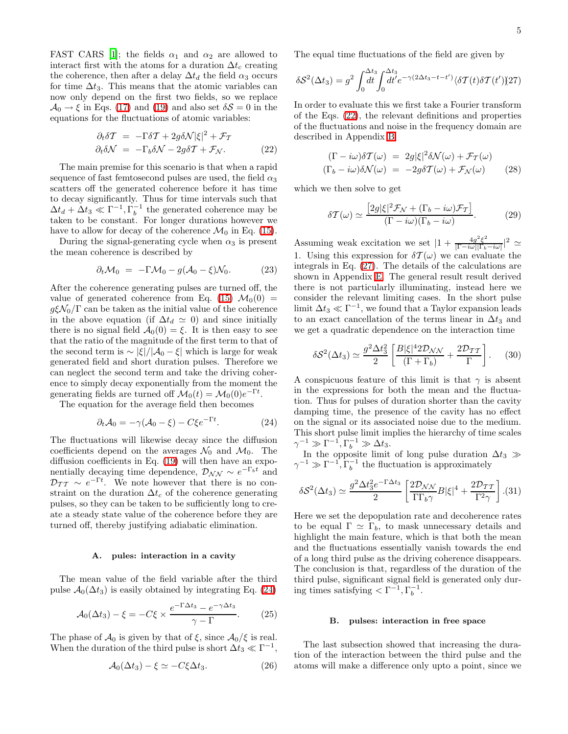FAST CARS [\[1\]](#page-11-0); the fields  $\alpha_1$  and  $\alpha_2$  are allowed to interact first with the atoms for a duration  $\Delta t_c$  creating the coherence, then after a delay  $\Delta t_d$  the field  $\alpha_3$  occurs for time  $\Delta t_3$ . This means that the atomic variables can now only depend on the first two fields, so we replace  $\mathcal{A}_0 \rightarrow \xi$  in Eqs. [\(17\)](#page-3-1) and [\(19\)](#page-3-3) and also set  $\delta \mathcal{S} = 0$  in the equations for the fluctuations of atomic variables:

$$
\partial_t \delta \mathcal{T} = -\Gamma \delta \mathcal{T} + 2g \delta \mathcal{N} |\xi|^2 + \mathcal{F}_{\mathcal{T}}
$$
  

$$
\partial_t \delta \mathcal{N} = -\Gamma_b \delta \mathcal{N} - 2g \delta \mathcal{T} + \mathcal{F}_{\mathcal{N}}.
$$
 (22)

<span id="page-4-1"></span>The main premise for this scenario is that when a rapid sequence of fast femtosecond pulses are used, the field  $\alpha_3$ scatters off the generated coherence before it has time to decay significantly. Thus for time intervals such that  $\Delta t_d + \Delta t_3 \ll \Gamma^{-1}, \Gamma_b^{-1}$  the generated coherence may be taken to be constant. For longer durations however we have to allow for decay of the coherence  $\mathcal{M}_0$  in Eq. [\(15\)](#page-3-0).

During the signal-generating cycle when  $\alpha_3$  is present the mean coherence is described by

$$
\partial_t \mathcal{M}_0 = -\Gamma \mathcal{M}_0 - g(\mathcal{A}_0 - \xi) \mathcal{N}_0. \tag{23}
$$

After the coherence generating pulses are turned off, the value of generated coherence from Eq. [\(15\)](#page-3-0)  $\mathcal{M}_0(0)$  =  $g\xi\mathcal{N}_0/\Gamma$  can be taken as the initial value of the coherence in the above equation (if  $\Delta t_d \simeq 0$ ) and since initially there is no signal field  $\mathcal{A}_0(0) = \xi$ . It is then easy to see that the ratio of the magnitude of the first term to that of the second term is  $\sim |\xi|/|\mathcal{A}_0 - \xi|$  which is large for weak generated field and short duration pulses. Therefore we can neglect the second term and take the driving coherence to simply decay exponentially from the moment the generating fields are turned off  $\mathcal{M}_0(t) = \mathcal{M}_0(0)e^{-\Gamma t}$ .

The equation for the average field then becomes

$$
\partial_t \mathcal{A}_0 = -\gamma (\mathcal{A}_0 - \xi) - C \xi e^{-\Gamma t}.
$$
 (24)

<span id="page-4-0"></span>The fluctuations will likewise decay since the diffusion coefficients depend on the averages  $\mathcal{N}_0$  and  $\mathcal{M}_0$ . The diffusion coefficients in Eq. [\(19\)](#page-3-3) will then have an exponentially decaying time dependence,  $\mathcal{D}_{NN} \sim e^{-\Gamma_b t}$  and  $\mathcal{D}_{TT} \sim e^{-\Gamma t}$ . We note however that there is no constraint on the duration  $\Delta t_c$  of the coherence generating pulses, so they can be taken to be sufficiently long to create a steady state value of the coherence before they are turned off, thereby justifying adiabatic elimination.

#### A. pules: interaction in a cavity

The mean value of the field variable after the third pulse  $\mathcal{A}_0(\Delta t_3)$  is easily obtained by integrating Eq. [\(24\)](#page-4-0)

$$
\mathcal{A}_0(\Delta t_3) - \xi = -C\xi \times \frac{e^{-\Gamma \Delta t_3} - e^{-\gamma \Delta t_3}}{\gamma - \Gamma}.
$$
 (25)

The phase of  $\mathcal{A}_0$  is given by that of  $\xi$ , since  $\mathcal{A}_0/\xi$  is real. When the duration of the third pulse is short  $\Delta t_3 \ll \Gamma^{-1}$ ,

$$
\mathcal{A}_0(\Delta t_3) - \xi \simeq -C\xi \Delta t_3. \tag{26}
$$

The equal time fluctuations of the field are given by

<span id="page-4-2"></span>
$$
\delta S^2(\Delta t_3) = g^2 \int_0^{\Delta t_3} dt' \int_0^{\Delta t_3} dt' e^{-\gamma(2\Delta t_3 - t - t')} \langle \delta \mathcal{T}(t) \delta \mathcal{T}(t') \rangle (27)
$$

In order to evaluate this we first take a Fourier transform of the Eqs. [\(22\)](#page-4-1), the relevant definitions and properties of the fluctuations and noise in the frequency domain are described in Appendix [B:](#page-9-1)

$$
(\Gamma - i\omega)\delta \mathcal{T}(\omega) = 2g|\xi|^2 \delta \mathcal{N}(\omega) + \mathcal{F}_{\mathcal{T}}(\omega)
$$
  
\n
$$
(\Gamma_b - i\omega)\delta \mathcal{N}(\omega) = -2g\delta \mathcal{T}(\omega) + \mathcal{F}_{\mathcal{N}}(\omega)
$$
 (28)

<span id="page-4-4"></span><span id="page-4-3"></span>which we then solve to get

$$
\delta \mathcal{T}(\omega) \simeq \frac{\left[2g|\xi|^2 \mathcal{F}_{\mathcal{N}} + (\Gamma_b - i\omega)\mathcal{F}_{\mathcal{T}}\right]}{(\Gamma - i\omega)(\Gamma_b - i\omega)}.
$$
 (29)

Assuming weak excitation we set  $|1 + \frac{4g^2 \xi^2}{[\Gamma - i\omega][\Gamma_b]}$  $\frac{4g^2\xi^2}{[\Gamma-i\omega][\Gamma_b-i\omega]}|^2 \simeq$ 1. Using this expression for  $\delta \mathcal{T}(\omega)$  we can evaluate the integrals in Eq. [\(27\)](#page-4-2). The details of the calculations are shown in Appendix [E.](#page-10-2) The general result result derived there is not particularly illuminating, instead here we consider the relevant limiting cases. In the short pulse limit  $\Delta t_3 \ll \Gamma^{-1}$ , we found that a Taylor expansion leads to an exact cancellation of the terms linear in  $\Delta t_3$  and we get a quadratic dependence on the interaction time

$$
\delta S^2(\Delta t_3) \simeq \frac{g^2 \Delta t_3^2}{2} \left[ \frac{B |\xi|^4 2\mathcal{D}_{\mathcal{NN}}}{\left(\Gamma + \Gamma_b\right)} + \frac{2\mathcal{D}_{\mathcal{TT}}}{\Gamma} \right]. \tag{30}
$$

<span id="page-4-5"></span>A conspicuous feature of this limit is that  $\gamma$  is absent in the expressions for both the mean and the fluctuation. Thus for pulses of duration shorter than the cavity damping time, the presence of the cavity has no effect on the signal or its associated noise due to the medium. This short pulse limit implies the hierarchy of time scales  $\gamma^{-1} \gg \Gamma^{-1}, \Gamma_b^{-1} \gg \Delta t_3.$ 

In the opposite limit of long pulse duration  $\Delta t_3 \gg$  $\gamma^{-1} \gg \Gamma^{-1}, \Gamma_b^{-1}$  the fluctuation is approximately

$$
\delta S^2(\Delta t_3) \simeq \frac{g^2 \Delta t_3^2 e^{-\Gamma \Delta t_3}}{2} \left[ \frac{2 \mathcal{D}_{NN}}{\Gamma \Gamma_b \gamma} B |\xi|^4 + \frac{2 \mathcal{D}_{\mathcal{T}} \tau}{\Gamma^2 \gamma} \right]. (31)
$$

<span id="page-4-6"></span>Here we set the depopulation rate and decoherence rates to be equal  $\Gamma \simeq \Gamma_b$ , to mask unnecessary details and highlight the main feature, which is that both the mean and the fluctuations essentially vanish towards the end of a long third pulse as the driving coherence disappears. The conclusion is that, regardless of the duration of the third pulse, significant signal field is generated only during times satisfying  $\langle \Gamma^{-1}, \Gamma_b^{-1} \rangle$ .

#### B. pulses: interaction in free space

The last subsection showed that increasing the duration of the interaction between the third pulse and the atoms will make a difference only upto a point, since we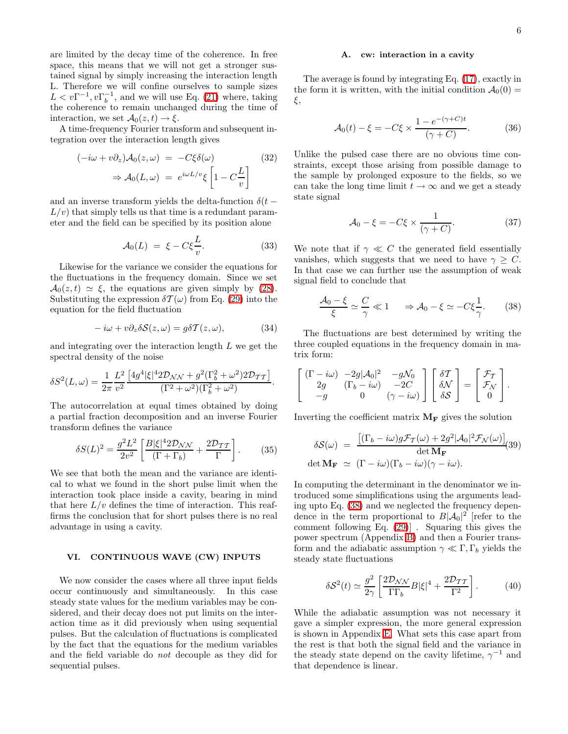are limited by the decay time of the coherence. In free space, this means that we will not get a stronger sustained signal by simply increasing the interaction length L. Therefore we will confine ourselves to sample sizes  $L < v\Gamma^{-1}, v\Gamma_b^{-1}$ , and we will use Eq. [\(21\)](#page-3-4) where, taking the coherence to remain unchanged during the time of interaction, we set  $\mathcal{A}_0(z,t) \to \xi$ .

A time-frequency Fourier transform and subsequent integration over the interaction length gives

$$
(-i\omega + v\partial_z) \mathcal{A}_0(z, \omega) = -C\xi \delta(\omega)
$$
  

$$
\Rightarrow \mathcal{A}_0(L, \omega) = e^{i\omega L/v}\xi \left[1 - C\frac{L}{v}\right]
$$
 (32)

and an inverse transform yields the delta-function  $\delta(t L/v$  that simply tells us that time is a redundant parameter and the field can be specified by its position alone

$$
\mathcal{A}_0(L) = \xi - C\xi \frac{L}{v}.
$$
 (33)

Likewise for the variance we consider the equations for the fluctuations in the frequency domain. Since we set  $A_0(z, t) \simeq \xi$ , the equations are given simply by [\(28\)](#page-4-3). Substituting the expression  $\delta \mathcal{T}(\omega)$  from Eq. [\(29\)](#page-4-4) into the equation for the field fluctuation

$$
-i\omega + v\partial_z \delta S(z,\omega) = g\delta T(z,\omega), \qquad (34)
$$

and integrating over the interaction length  $L$  we get the spectral density of the noise

$$
\delta S^{2}(L,\omega) = \frac{1}{2\pi} \frac{L^{2}}{v^{2}} \frac{\left[4g^{4}|\xi|^{4} 2\mathcal{D}_{\mathcal{NN}} + g^{2}(\Gamma_{b}^{2} + \omega^{2}) 2\mathcal{D}_{\mathcal{TT}}\right]}{(\Gamma^{2} + \omega^{2})(\Gamma_{b}^{2} + \omega^{2})}.
$$

The autocorrelation at equal times obtained by doing a partial fraction decomposition and an inverse Fourier transform defines the variance

$$
\delta S(L)^2 = \frac{g^2 L^2}{2v^2} \left[ \frac{B|\xi|^4 2\mathcal{D}_{\mathcal{NN}}}{\left(\Gamma + \Gamma_b\right)} + \frac{2\mathcal{D}_{\mathcal{TT}}}{\Gamma} \right].\tag{35}
$$

We see that both the mean and the variance are identical to what we found in the short pulse limit when the interaction took place inside a cavity, bearing in mind that here  $L/v$  defines the time of interaction. This reaffirms the conclusion that for short pulses there is no real advantage in using a cavity.

### VI. CONTINUOUS WAVE (CW) INPUTS

We now consider the cases where all three input fields occur continuously and simultaneously. In this case steady state values for the medium variables may be considered, and their decay does not put limits on the interaction time as it did previously when using sequential pulses. But the calculation of fluctuations is complicated by the fact that the equations for the medium variables and the field variable do not decouple as they did for sequential pulses.

#### A. cw: interaction in a cavity

The average is found by integrating Eq. [\(17\)](#page-3-1), exactly in the form it is written, with the initial condition  $\mathcal{A}_0(0)$  = ξ,

$$
\mathcal{A}_0(t) - \xi = -C\xi \times \frac{1 - e^{-(\gamma + C)t}}{(\gamma + C)}.\tag{36}
$$

Unlike the pulsed case there are no obvious time constraints, except those arising from possible damage to the sample by prolonged exposure to the fields, so we can take the long time limit  $t \to \infty$  and we get a steady state signal

$$
\mathcal{A}_0 - \xi = -C\xi \times \frac{1}{(\gamma + C)}.\tag{37}
$$

We note that if  $\gamma \ll C$  the generated field essentially vanishes, which suggests that we need to have  $\gamma \geq C$ . In that case we can further use the assumption of weak signal field to conclude that

$$
\frac{\mathcal{A}_0 - \xi}{\xi} \simeq \frac{C}{\gamma} \ll 1 \quad \Rightarrow \mathcal{A}_0 - \xi \simeq -C\xi \frac{1}{\gamma}.
$$
 (38)

<span id="page-5-0"></span>The fluctuations are best determined by writing the three coupled equations in the frequency domain in matrix form:

$$
\begin{bmatrix}\n(\Gamma - i\omega) & -2g|\mathcal{A}_0|^2 & -g\mathcal{N}_0 \\
2g & (\Gamma_b - i\omega) & -2C \\
-g & 0 & (\gamma - i\omega)\n\end{bmatrix}\n\begin{bmatrix}\n\delta \mathcal{T} \\
\delta \mathcal{N} \\
\delta \mathcal{S}\n\end{bmatrix} =\n\begin{bmatrix}\n\mathcal{F}_{\mathcal{T}} \\
\mathcal{F}_{\mathcal{N}} \\
0\n\end{bmatrix}.
$$

Inverting the coefficient matrix  $M_F$  gives the solution

$$
\delta S(\omega) = \frac{\left[ (\Gamma_b - i\omega) g \mathcal{F}_T(\omega) + 2g^2 |\mathcal{A}_0|^2 \mathcal{F}_N(\omega) \right]}{\det \mathbf{M}_{\mathbf{F}}} (39)
$$
  
det  $\mathbf{M}_{\mathbf{F}} \simeq (\Gamma - i\omega)(\Gamma_b - i\omega)(\gamma - i\omega).$ 

In computing the determinant in the denominator we introduced some simplifications using the arguments leading upto Eq. [\(38\)](#page-5-0) and we neglected the frequency dependence in the term proportional to  $B|\mathcal{A}_0|^2$  [refer to the comment following Eq. [\(29\)](#page-4-4)] . Squaring this gives the power spectrum (Appendix [B\)](#page-9-1) and then a Fourier transform and the adiabatic assumption  $\gamma \ll \Gamma$ ,  $\Gamma_b$  yields the steady state fluctuations

$$
\delta S^2(t) \simeq \frac{g^2}{2\gamma} \left[ \frac{2\mathcal{D}_{\mathcal{NN}}}{\Gamma \Gamma_b} B |\xi|^4 + \frac{2\mathcal{D}_{\mathcal{TT}}}{\Gamma^2} \right]. \tag{40}
$$

<span id="page-5-1"></span>While the adiabatic assumption was not necessary it gave a simpler expression, the more general expression is shown in Appendix [E.](#page-10-2) What sets this case apart from the rest is that both the signal field and the variance in the steady state depend on the cavity lifetime,  $\gamma^{-1}$  and that dependence is linear.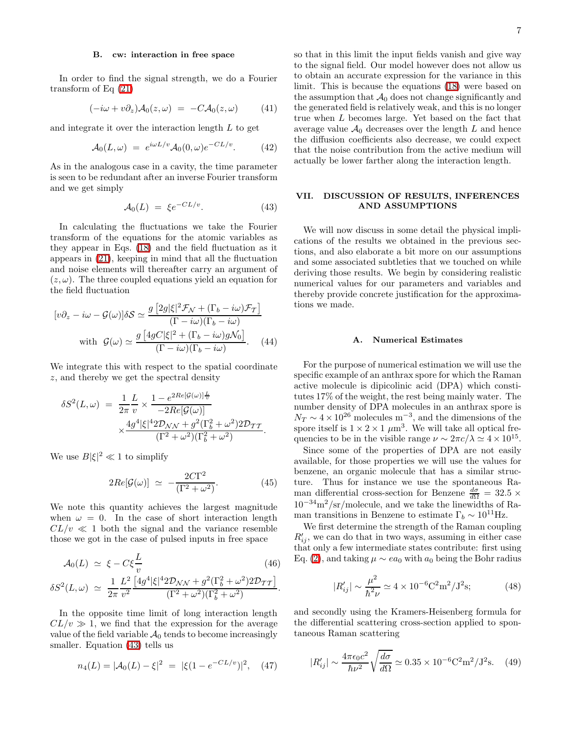#### B. cw: interaction in free space

In order to find the signal strength, we do a Fourier transform of Eq [\(21\)](#page-3-4)

$$
(-i\omega + v\partial_z) \mathcal{A}_0(z,\omega) = -C \mathcal{A}_0(z,\omega) \qquad (41)
$$

and integrate it over the interaction length  $L$  to get

$$
\mathcal{A}_0(L,\omega) = e^{i\omega L/v} \mathcal{A}_0(0,\omega) e^{-CL/v}.
$$
 (42)

As in the analogous case in a cavity, the time parameter is seen to be redundant after an inverse Fourier transform and we get simply

$$
\mathcal{A}_0(L) = \xi e^{-CL/v}.\tag{43}
$$

<span id="page-6-0"></span>In calculating the fluctuations we take the Fourier transform of the equations for the atomic variables as they appear in Eqs. [\(18\)](#page-3-2) and the field fluctuation as it appears in [\(21\)](#page-3-4), keeping in mind that all the fluctuation and noise elements will thereafter carry an argument of  $(z, \omega)$ . The three coupled equations yield an equation for the field fluctuation

$$
[v\partial_z - i\omega - \mathcal{G}(\omega)]\delta S \simeq \frac{g[2g|\xi|^2 \mathcal{F}_{\mathcal{N}} + (\Gamma_b - i\omega)\mathcal{F}_{\mathcal{T}}]}{(\Gamma - i\omega)(\Gamma_b - i\omega)}
$$
  
with 
$$
\mathcal{G}(\omega) \simeq \frac{g[4gC|\xi|^2 + (\Gamma_b - i\omega)g\mathcal{N}_0]}{(\Gamma - i\omega)(\Gamma_b - i\omega)}.
$$
 (44)

We integrate this with respect to the spatial coordinate z, and thereby we get the spectral density

$$
\delta S^2(L,\omega) = \frac{1}{2\pi} \frac{L}{v} \times \frac{1 - e^{2Re[\mathcal{G}(\omega)]\frac{L}{v}}}{-2Re[\mathcal{G}(\omega)]} \times \frac{4g^4|\xi|^4 2\mathcal{D}_{\mathcal{NN}} + g^2(\Gamma_b^2 + \omega^2) 2\mathcal{D}_{TT}}{(\Gamma^2 + \omega^2)(\Gamma_b^2 + \omega^2)}.
$$

We use  $B|\xi|^2 \ll 1$  to simplify

$$
2Re[\mathcal{G}(\omega)] \simeq -\frac{2C\Gamma^2}{(\Gamma^2 + \omega^2)}.
$$
 (45)

We note this quantity achieves the largest magnitude when  $\omega = 0$ . In the case of short interaction length  $CL/v \ll 1$  both the signal and the variance resemble those we got in the case of pulsed inputs in free space

$$
\mathcal{A}_0(L) \simeq \xi - C\xi \frac{L}{v} \tag{46}
$$
\n
$$
\delta S^2(L,\omega) \simeq \frac{1}{2\pi} \frac{L^2}{v^2} \frac{\left[4g^4|\xi|^4 2\mathcal{D}_{NN} + g^2(\Gamma_b^2 + \omega^2) 2\mathcal{D}_{TT}\right]}{(\Gamma^2 + \omega^2)(\Gamma_b^2 + \omega^2)}.
$$

In the opposite time limit of long interaction length  $CL/v \gg 1$ , we find that the expression for the average value of the field variable  $\mathcal{A}_0$  tends to become increasingly smaller. Equation [\(43\)](#page-6-0) tells us

$$
n_4(L) = |\mathcal{A}_0(L) - \xi|^2 = |\xi(1 - e^{-CL/v})|^2, \quad (47)
$$

so that in this limit the input fields vanish and give way to the signal field. Our model however does not allow us to obtain an accurate expression for the variance in this limit. This is because the equations [\(18\)](#page-3-2) were based on the assumption that  $\mathcal{A}_0$  does not change significantly and the generated field is relatively weak, and this is no longer true when L becomes large. Yet based on the fact that average value  $\mathcal{A}_0$  decreases over the length L and hence the diffusion coefficients also decrease, we could expect that the noise contribution from the active medium will actually be lower farther along the interaction length.

# VII. DISCUSSION OF RESULTS, INFERENCES AND ASSUMPTIONS

We will now discuss in some detail the physical implications of the results we obtained in the previous sections, and also elaborate a bit more on our assumptions and some associated subtleties that we touched on while deriving those results. We begin by considering realistic numerical values for our parameters and variables and thereby provide concrete justification for the approximations we made.

# A. Numerical Estimates

For the purpose of numerical estimation we will use the specific example of an anthrax spore for which the Raman active molecule is dipicolinic acid (DPA) which constitutes 17% of the weight, the rest being mainly water. The number density of DPA molecules in an anthrax spore is  $N_T \sim 4 \times 10^{26}$  molecules m<sup>-3</sup>, and the dimensions of the spore itself is  $1 \times 2 \times 1 \ \mu m^3$ . We will take all optical frequencies to be in the visible range  $\nu \sim 2\pi c/\lambda \simeq 4 \times 10^{15}$ .

Since some of the properties of DPA are not easily available, for those properties we will use the values for benzene, an organic molecule that has a similar structure. Thus for instance we use the spontaneous Raman differential cross-section for Benzene  $\frac{d\sigma}{d\Omega} = 32.5 \times$  $10^{-34}\rm m^2/sr/molecule,$  and we take the linewidths of Raman transitions in Benzene to estimate  $\Gamma_b \sim 10^{11}$ Hz.

We first determine the strength of the Raman coupling  $R'_{ij}$ , we can do that in two ways, assuming in either case that only a few intermediate states contribute: first using Eq. [\(2\)](#page-1-1), and taking  $\mu \sim ea_0$  with  $a_0$  being the Bohr radius

$$
|R'_{ij}| \sim \frac{\mu^2}{\hbar^2 \nu} \simeq 4 \times 10^{-6} \text{C}^2 \text{m}^2/\text{J}^2 \text{s};\tag{48}
$$

and secondly using the Kramers-Heisenberg formula for the differential scattering cross-section applied to spontaneous Raman scattering

$$
|R'_{ij}| \sim \frac{4\pi\epsilon_0 c^2}{\hbar\nu^2} \sqrt{\frac{d\sigma}{d\Omega}} \simeq 0.35 \times 10^{-6} \text{C}^2 \text{m}^2/\text{J}^2 \text{s}. \tag{49}
$$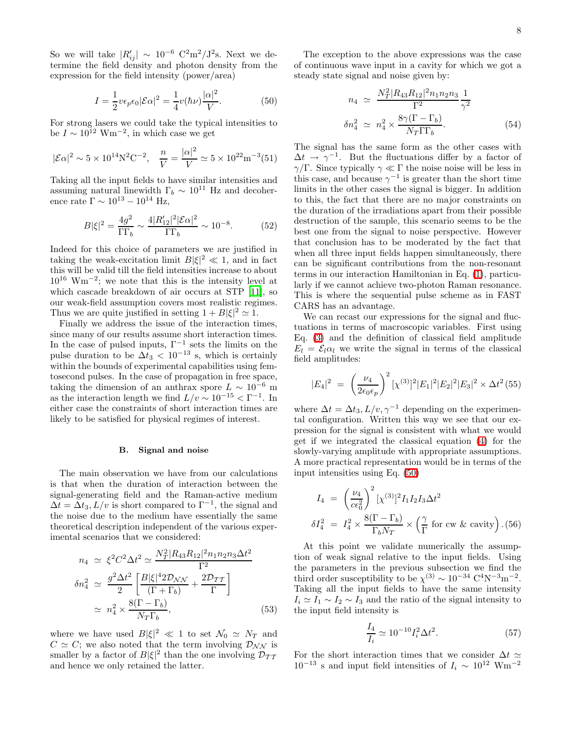So we will take  $|R'_{ij}| \sim 10^{-6} \text{ C}^2 \text{m}^2/\text{J}^2 \text{s}$ . Next we determine the field density and photon density from the expression for the field intensity (power/area)

$$
I = \frac{1}{2} v \epsilon_p \epsilon_0 |\mathcal{E}\alpha|^2 = \frac{1}{4} v(\hbar \nu) \frac{|\alpha|^2}{V}.
$$
 (50)

<span id="page-7-1"></span>For strong lasers we could take the typical intensities to be  $I \sim 10^{12} \text{ Wm}^{-2}$ , in which case we get

$$
|\mathcal{E}\alpha|^2 \sim 5 \times 10^{14} \text{N}^2 \text{C}^{-2}, \quad \frac{n}{V} = \frac{|\alpha|^2}{V} \simeq 5 \times 10^{22} \text{m}^{-3} (51)
$$

Taking all the input fields to have similar intensities and assuming natural linewidth  $\Gamma_b \sim 10^{11}$  Hz and decoherence rate  $\Gamma \sim 10^{13} - 10^{14}$  Hz,

$$
B|\xi|^2 = \frac{4g^2}{\Gamma\Gamma_b} \sim \frac{4|R'_{12}|^2|\mathcal{E}\alpha|^2}{\Gamma\Gamma_b} \sim 10^{-8}.\tag{52}
$$

Indeed for this choice of parameters we are justified in taking the weak-excitation limit  $B|\xi|^2 \ll 1$ , and in fact this will be valid till the field intensities increase to about  $10^{16}$  Wm<sup>-2</sup>; we note that this is the intensity level at which cascade breakdown of air occurs at STP [\[11](#page-11-10)], so our weak-field assumption covers most realistic regimes. Thus we are quite justified in setting  $1 + B|\xi|^2 \simeq 1$ .

Finally we address the issue of the interaction times, since many of our results assume short interaction times. In the case of pulsed inputs,  $\Gamma^{-1}$  sets the limits on the pulse duration to be  $\Delta t_3 < 10^{-13}$  s, which is certainly within the bounds of experimental capabilities using femtosecond pulses. In the case of propagation in free space, taking the dimension of an anthrax spore  $L \sim 10^{-6}$  m as the interaction length we find  $L/v \sim 10^{-15} < \Gamma^{-1}$ . In either case the constraints of short interaction times are likely to be satisfied for physical regimes of interest.

#### B. Signal and noise

<span id="page-7-0"></span>The main observation we have from our calculations is that when the duration of interaction between the signal-generating field and the Raman-active medium  $\Delta t = \Delta t_3, L/v$  is short compared to  $\Gamma^{-1}$ , the signal and the noise due to the medium have essentially the same theoretical description independent of the various experimental scenarios that we considered:

$$
n_4 \simeq \xi^2 C^2 \Delta t^2 \simeq \frac{N_T^2 |R_{43} R_{12}|^2 n_1 n_2 n_3 \Delta t^2}{\Gamma^2}
$$

$$
\delta n_4^2 \simeq \frac{g^2 \Delta t^2}{2} \left[ \frac{B |\xi|^4 2 \mathcal{D}_{\mathcal{NN}}}{(\Gamma + \Gamma_b)} + \frac{2 \mathcal{D}_{\mathcal{TT}}}{\Gamma} \right]
$$

$$
\simeq n_4^2 \times \frac{8(\Gamma - \Gamma_b)}{N_T \Gamma_b}, \tag{53}
$$

where we have used  $B|\xi|^2 \ll 1$  to set  $\mathcal{N}_0 \simeq \mathcal{N}_T$  and  $C \simeq C$ ; we also noted that the term involving  $\mathcal{D}_{NN}$  is smaller by a factor of  $B|\xi|^2$  than the one involving  $\mathcal{D}_{TT}$ and hence we only retained the latter.

The exception to the above expressions was the case of continuous wave input in a cavity for which we got a steady state signal and noise given by:

$$
n_4 \simeq \frac{N_T^2 |R_{43}R_{12}|^2 n_1 n_2 n_3}{\Gamma^2} \frac{1}{\gamma^2}
$$

$$
\delta n_4^2 \simeq n_4^2 \times \frac{8\gamma (\Gamma - \Gamma_b)}{N_T \Gamma \Gamma_b}.
$$
(54)

The signal has the same form as the other cases with  $\Delta t \rightarrow \gamma^{-1}$ . But the fluctuations differ by a factor of  $γ/\Gamma$ . Since typically  $γ \ll Γ$  the noise noise will be less in this case, and because  $\gamma^{-1}$  is greater than the short time limits in the other cases the signal is bigger. In addition to this, the fact that there are no major constraints on the duration of the irradiations apart from their possible destruction of the sample, this scenario seems to be the best one from the signal to noise perspective. However that conclusion has to be moderated by the fact that when all three input fields happen simultaneously, there can be significant contributions from the non-resonant terms in our interaction Hamiltonian in Eq. [\(1\)](#page-1-0), particularly if we cannot achieve two-photon Raman resonance. This is where the sequential pulse scheme as in FAST CARS has an advantage.

We can recast our expressions for the signal and fluctuations in terms of macroscopic variables. First using Eq. [\(3\)](#page-1-2) and the definition of classical field amplitude  $E_l = \mathcal{E}_l \alpha_l$  we write the signal in terms of the classical field amplitudes:

$$
|E_4|^2 = \left(\frac{\nu_4}{2\epsilon_0 \epsilon_p}\right)^2 [\chi^{(3)}]^2 |E_1|^2 |E_2|^2 |E_3|^2 \times \Delta t^2 (55)
$$

where  $\Delta t = \Delta t_3, L/v, \gamma^{-1}$  depending on the experimental configuration. Written this way we see that our expression for the signal is consistent with what we would get if we integrated the classical equation [\(4\)](#page-1-3) for the slowly-varying amplitude with appropriate assumptions. A more practical representation would be in terms of the input intensities using Eq. [\(50\)](#page-7-1)

$$
I_4 = \left(\frac{\nu_4}{c\epsilon_0^2}\right)^2 [\chi^{(3)}]^2 I_1 I_2 I_3 \Delta t^2
$$
  

$$
\delta I_4^2 = I_4^2 \times \frac{8(\Gamma - \Gamma_b)}{\Gamma_b N_T} \times \left(\frac{\gamma}{\Gamma} \text{ for cw } \& \text{ cavity}\right). (56)
$$

At this point we validate numerically the assumption of weak signal relative to the input fields. Using the parameters in the previous subsection we find the third order susceptibility to be  $\chi^{(3)} \sim 10^{-34} \text{ C}^4 \text{N}^{-3} \text{m}^{-2}$ . Taking all the input fields to have the same intensity  $I_i \simeq I_1 \sim I_2 \sim I_3$  and the ratio of the signal intensity to the input field intensity is

$$
\frac{I_4}{I_i} \simeq 10^{-10} I_i^2 \Delta t^2. \tag{57}
$$

For the short interaction times that we consider  $\Delta t \simeq$  $10^{-13}$  s and input field intensities of  $I_i \sim 10^{12}$  Wm<sup>-2</sup>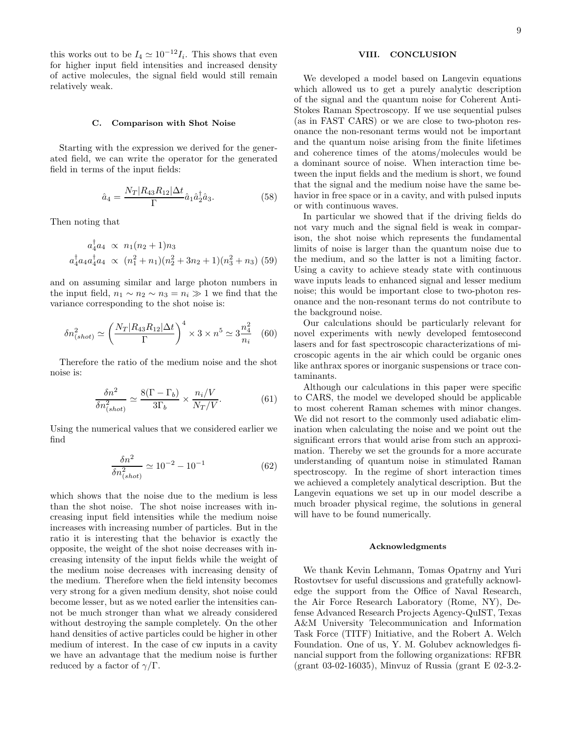this works out to be  $I_4 \simeq 10^{-12} I_i$ . This shows that even for higher input field intensities and increased density of active molecules, the signal field would still remain relatively weak.

#### C. Comparison with Shot Noise

Starting with the expression we derived for the generated field, we can write the operator for the generated field in terms of the input fields:

$$
\hat{a}_4 = \frac{N_T |R_{43}R_{12}|\Delta t}{\Gamma} \hat{a}_1 \hat{a}_2^{\dagger} \hat{a}_3. \tag{58}
$$

Then noting that

$$
a_4^{\dagger} a_4 \propto n_1(n_2+1)n_3
$$
  

$$
a_4^{\dagger} a_4 a_4^{\dagger} a_4 \propto (n_1^2 + n_1)(n_2^2 + 3n_2 + 1)(n_3^2 + n_3)
$$
 (59)

and on assuming similar and large photon numbers in the input field,  $n_1 \sim n_2 \sim n_3 = n_i \gg 1$  we find that the variance corresponding to the shot noise is:

$$
\delta n_{(shot)}^2 \simeq \left(\frac{N_T |R_{43}R_{12}|\Delta t}{\Gamma}\right)^4 \times 3 \times n^5 \simeq 3\frac{n_4^2}{n_i} \quad (60)
$$

Therefore the ratio of the medium noise and the shot noise is:

$$
\frac{\delta n^2}{\delta n_{(shot)}^2} \simeq \frac{8(\Gamma - \Gamma_b)}{3\Gamma_b} \times \frac{n_i/V}{N_T/V}.\tag{61}
$$

Using the numerical values that we considered earlier we find

$$
\frac{\delta n^2}{\delta n_{(shot)}^2} \simeq 10^{-2} - 10^{-1} \tag{62}
$$

which shows that the noise due to the medium is less than the shot noise. The shot noise increases with increasing input field intensities while the medium noise increases with increasing number of particles. But in the ratio it is interesting that the behavior is exactly the opposite, the weight of the shot noise decreases with increasing intensity of the input fields while the weight of the medium noise decreases with increasing density of the medium. Therefore when the field intensity becomes very strong for a given medium density, shot noise could become lesser, but as we noted earlier the intensities cannot be much stronger than what we already considered without destroying the sample completely. On the other hand densities of active particles could be higher in other medium of interest. In the case of cw inputs in a cavity we have an advantage that the medium noise is further reduced by a factor of  $\gamma/\Gamma$ .

#### VIII. CONCLUSION

We developed a model based on Langevin equations which allowed us to get a purely analytic description of the signal and the quantum noise for Coherent Anti-Stokes Raman Spectroscopy. If we use sequential pulses (as in FAST CARS) or we are close to two-photon resonance the non-resonant terms would not be important and the quantum noise arising from the finite lifetimes and coherence times of the atoms/molecules would be a dominant source of noise. When interaction time between the input fields and the medium is short, we found that the signal and the medium noise have the same behavior in free space or in a cavity, and with pulsed inputs or with continuous waves.

In particular we showed that if the driving fields do not vary much and the signal field is weak in comparison, the shot noise which represents the fundamental limits of noise is larger than the quantum noise due to the medium, and so the latter is not a limiting factor. Using a cavity to achieve steady state with continuous wave inputs leads to enhanced signal and lesser medium noise; this would be important close to two-photon resonance and the non-resonant terms do not contribute to the background noise.

Our calculations should be particularly relevant for novel experiments with newly developed femtosecond lasers and for fast spectroscopic characterizations of microscopic agents in the air which could be organic ones like anthrax spores or inorganic suspensions or trace contaminants.

Although our calculations in this paper were specific to CARS, the model we developed should be applicable to most coherent Raman schemes with minor changes. We did not resort to the commonly used adiabatic elimination when calculating the noise and we point out the significant errors that would arise from such an approximation. Thereby we set the grounds for a more accurate understanding of quantum noise in stimulated Raman spectroscopy. In the regime of short interaction times we achieved a completely analytical description. But the Langevin equations we set up in our model describe a much broader physical regime, the solutions in general will have to be found numerically.

#### Acknowledgments

We thank Kevin Lehmann, Tomas Opatrny and Yuri Rostovtsev for useful discussions and gratefully acknowledge the support from the Office of Naval Research, the Air Force Research Laboratory (Rome, NY), Defense Advanced Research Projects Agency-QuIST, Texas A&M University Telecommunication and Information Task Force (TITF) Initiative, and the Robert A. Welch Foundation. One of us, Y. M. Golubev acknowledges financial support from the following organizations: RFBR (grant 03-02-16035), Minvuz of Russia (grant E 02-3.2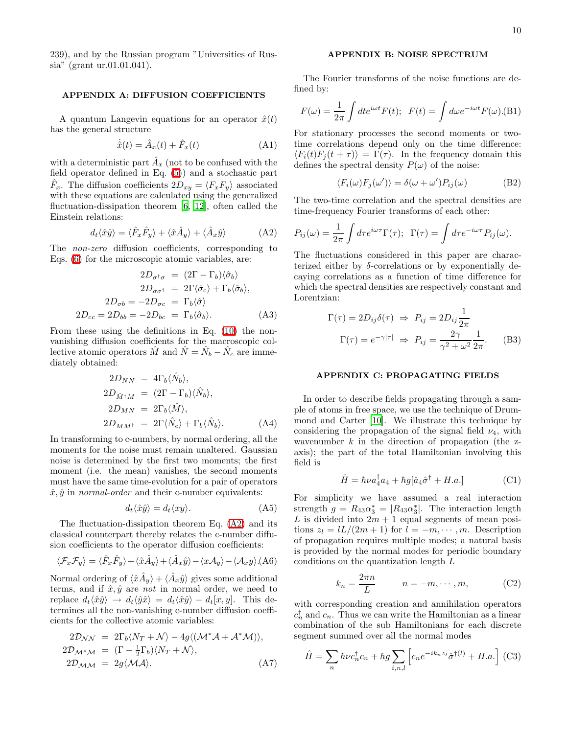<span id="page-9-0"></span>239), and by the Russian program "Universities of Russia" (grant ur.01.01.041).

#### APPENDIX A: DIFFUSION COEFFICIENTS

A quantum Langevin equations for an operator  $\hat{x}(t)$ has the general structure

$$
\dot{\hat{x}}(t) = \hat{A}_x(t) + \hat{F}_x(t)
$$
\n(A1)

with a deterministic part  $\hat{A}_x$  (not to be confused with the field operator defined in Eq. [\(5\)](#page-1-4)) and a stochastic part  $\hat{F}_x$ . The diffusion coefficients  $2D_{xy} = \langle F_x F_y \rangle$  associated with these equations are calculated using the generalized fluctuation-dissipation theorem [\[6,](#page-11-5) [12\]](#page-11-11), often called the Einstein relations:

$$
d_t \langle \hat{x} \hat{y} \rangle = \langle \hat{F}_x \hat{F}_y \rangle + \langle \hat{x} \hat{A}_y \rangle + \langle \hat{A}_x \hat{y} \rangle \tag{A2}
$$

<span id="page-9-3"></span>The non-zero diffusion coefficients, corresponding to Eqs. [\(6\)](#page-2-0) for the microscopic atomic variables, are:

$$
2D_{\sigma^{\dagger}\sigma} = (2\Gamma - \Gamma_b)\langle \hat{\sigma}_b \rangle
$$
  
\n
$$
2D_{\sigma\sigma^{\dagger}} = 2\Gamma \langle \hat{\sigma}_c \rangle + \Gamma_b \langle \hat{\sigma}_b \rangle,
$$
  
\n
$$
2D_{\sigma b} = -2D_{\sigma c} = \Gamma_b \langle \hat{\sigma} \rangle
$$
  
\n
$$
2D_{cc} = 2D_{bb} = -2D_{bc} = \Gamma_b \langle \hat{\sigma}_b \rangle.
$$
 (A3)

From these using the definitions in Eq. [\(10\)](#page-2-1) the nonvanishing diffusion coefficients for the macroscopic collective atomic operators  $\hat{M}$  and  $\hat{N} = \hat{N}_b - \hat{N}_c$  are immediately obtained:

$$
2D_{NN} = 4\Gamma_b \langle \hat{N}_b \rangle,
$$
  
\n
$$
2D_{\hat{M}^{\dagger}M} = (2\Gamma - \Gamma_b) \langle \hat{N}_b \rangle,
$$
  
\n
$$
2D_{MN} = 2\Gamma_b \langle \hat{M} \rangle,
$$
  
\n
$$
2D_{MM^{\dagger}} = 2\Gamma \langle \hat{N}_c \rangle + \Gamma_b \langle \hat{N}_b \rangle.
$$
 (A4)

In transforming to c-numbers, by normal ordering, all the moments for the noise must remain unaltered. Gaussian noise is determined by the first two moments; the first moment (i.e. the mean) vanishes, the second moments must have the same time-evolution for a pair of operators  $\hat{x}, \hat{y}$  in *normal-order* and their c-number equivalents:

$$
d_t \langle \hat{x} \hat{y} \rangle = d_t \langle xy \rangle. \tag{A5}
$$

The fluctuation-dissipation theorem Eq. [\(A2\)](#page-9-3) and its classical counterpart thereby relates the c-number diffusion coefficients to the operator diffusion coefficients:

$$
\langle \mathcal{F}_x \mathcal{F}_y \rangle = \langle \hat{F}_x \hat{F}_y \rangle + \langle \hat{x} \hat{A}_y \rangle + \langle \hat{A}_x \hat{y} \rangle - \langle x \mathcal{A}_y \rangle - \langle \mathcal{A}_x y \rangle.
$$
 (A6)

Normal ordering of  $\langle \hat{x} \hat{A}_y \rangle + \langle \hat{A}_x \hat{y} \rangle$  gives some additional terms, and if  $\hat{x}, \hat{y}$  are not in normal order, we need to replace  $d_t\langle \hat{x}\hat{y}\rangle \rightarrow d_t\langle \hat{y}\hat{x}\rangle = d_t\langle \hat{x}\hat{y}\rangle - d_t[x, y]$ . This determines all the non-vanishing c-number diffusion coefficients for the collective atomic variables:

$$
2\mathcal{D}_{\mathcal{N}\mathcal{N}} = 2\Gamma_b \langle N_T + \mathcal{N} \rangle - 4g \langle (\mathcal{M}^* \mathcal{A} + \mathcal{A}^* \mathcal{M}) \rangle,
$$
  
\n
$$
2\mathcal{D}_{\mathcal{M}^* \mathcal{M}} = (\Gamma - \frac{1}{2}\Gamma_b) \langle N_T + \mathcal{N} \rangle,
$$
  
\n
$$
2\mathcal{D}_{\mathcal{M}\mathcal{M}} = 2g \langle \mathcal{M}\mathcal{A} \rangle.
$$
 (A7)

# APPENDIX B: NOISE SPECTRUM

<span id="page-9-1"></span>The Fourier transforms of the noise functions are defined by:

$$
F(\omega) = \frac{1}{2\pi} \int dt e^{i\omega t} F(t); \ \ F(t) = \int d\omega e^{-i\omega t} F(\omega). \text{(B1)}
$$

For stationary processes the second moments or twotime correlations depend only on the time difference:  $\langle F_i(t)F_i(t + \tau)\rangle = \Gamma(\tau)$ . In the frequency domain this defines the spectral density  $P(\omega)$  of the noise:

$$
\langle F_i(\omega) F_j(\omega') \rangle = \delta(\omega + \omega') P_{ij}(\omega) \tag{B2}
$$

The two-time correlation and the spectral densities are time-frequency Fourier transforms of each other:

$$
P_{ij}(\omega) = \frac{1}{2\pi} \int d\tau e^{i\omega\tau} \Gamma(\tau); \ \ \Gamma(\tau) = \int d\tau e^{-i\omega\tau} P_{ij}(\omega).
$$

The fluctuations considered in this paper are characterized either by  $\delta$ -correlations or by exponentially decaying correlations as a function of time difference for which the spectral densities are respectively constant and Lorentzian:

$$
\Gamma(\tau) = 2D_{ij}\delta(\tau) \Rightarrow P_{ij} = 2D_{ij}\frac{1}{2\pi}
$$

$$
\Gamma(\tau) = e^{-\gamma|\tau|} \Rightarrow P_{ij} = \frac{2\gamma}{\gamma^2 + \omega^2} \frac{1}{2\pi}.
$$
 (B3)

# APPENDIX C: PROPAGATING FIELDS

<span id="page-9-2"></span>In order to describe fields propagating through a sample of atoms in free space, we use the technique of Drummond and Carter [\[10](#page-11-9)]. We illustrate this technique by considering the propagation of the signal field  $\nu_4$ , with wavenumber  $k$  in the direction of propagation (the zaxis); the part of the total Hamiltonian involving this field is

$$
\hat{H} = \hbar \nu a_4^{\dagger} a_4 + \hbar g [\hat{a}_4 \hat{\sigma}^{\dagger} + H.a.] \tag{C1}
$$

For simplicity we have assumed a real interaction strength  $g = R_{43}\alpha_3^* = |R_{43}\alpha_3^*|$ . The interaction length L is divided into  $2m + 1$  equal segments of mean positions  $z_l = lL/(2m+1)$  for  $l = -m, \dots, m$ . Description of propagation requires multiple modes; a natural basis is provided by the normal modes for periodic boundary conditions on the quantization length L

$$
k_n = \frac{2\pi n}{L} \qquad n = -m, \cdots, m,
$$
 (C2)

with corresponding creation and annihilation operators  $c_n^{\dagger}$  and  $c_n$ . Thus we can write the Hamiltonian as a linear combination of the sub Hamiltonians for each discrete segment summed over all the normal modes

$$
\hat{H} = \sum_{n} \hbar \nu c_n^{\dagger} c_n + \hbar g \sum_{i,n,l} \left[ c_n e^{-ik_n z_l} \hat{\sigma}^{\dagger(l)} + H.a. \right] \tag{C3}
$$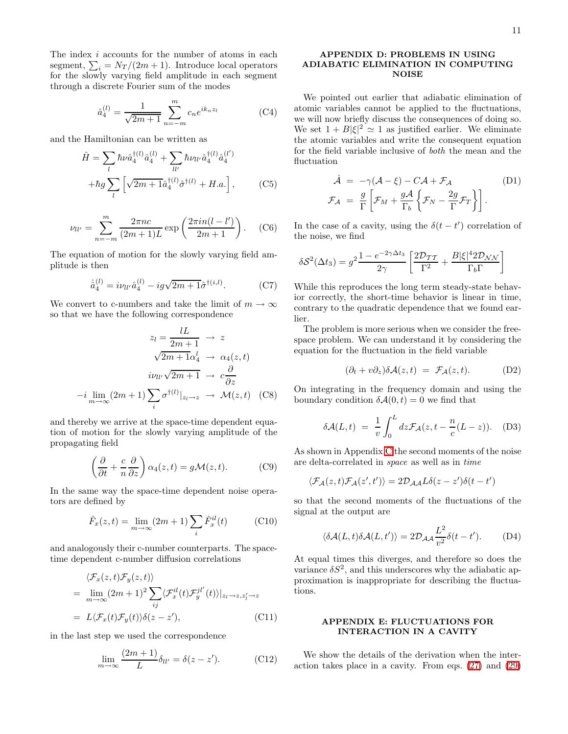The index  $i$  accounts for the number of atoms in each segment,  $\sum_i = N_T/(2m + 1)$ . Introduce local operators for the slowly varying field amplitude in each segment through a discrete Fourier sum of the modes

$$
\hat{a}_4^{(l)} = \frac{1}{\sqrt{2m+1}} \sum_{n=-m}^{m} c_n e^{ik_n z_l}
$$
 (C4)

and the Hamiltonian can be written as

$$
\hat{H} = \sum_{l} \hbar \nu \hat{a}_{4}^{\dagger(l)} \hat{a}_{4}^{(l)} + \sum_{ll'} \hbar \nu_{ll'} \hat{a}_{4}^{\dagger(l)} \hat{a}_{4}^{(l')}
$$

$$
+ \hbar g \sum_{l} \left[ \sqrt{2m + 1} \hat{a}_{4}^{\dagger(l)} \hat{\sigma}^{\dagger(l)} + H.a. \right], \qquad (C5)
$$

$$
\nu_{ll'} = \sum_{n=-m}^{m} \frac{2\pi nc}{(2m+1)L} \exp\left(\frac{2\pi i n(l-l')}{2m+1}\right). \quad (C6)
$$

The equation of motion for the slowly varying field amplitude is then

$$
\dot{\hat{a}}_4^{(l)} = i\nu_{ll'}\hat{a}_4^{(l)} - ig\sqrt{2m+1}\hat{\sigma}^{\dagger(i,l)}.
$$
 (C7)

We convert to c-numbers and take the limit of  $m \to \infty$ so that we have the following correspondence

$$
z_l = \frac{lL}{2m+1} \to z
$$

$$
\sqrt{2m+1}\alpha_4^l \to \alpha_4(z,t)
$$

$$
i\nu_{ll'}\sqrt{2m+1} \to c\frac{\partial}{\partial z}
$$

$$
-i\lim_{m\to\infty}(2m+1)\sum_i \sigma^{\dagger(l)}|_{z_l\to z} \to \mathcal{M}(z,t) \quad \text{(C8)}
$$

and thereby we arrive at the space-time dependent equation of motion for the slowly varying amplitude of the propagating field

$$
\left(\frac{\partial}{\partial t} + \frac{c}{n} \frac{\partial}{\partial z}\right) \alpha_4(z, t) = g \mathcal{M}(z, t). \tag{C9}
$$

<span id="page-10-1"></span>In the same way the space-time dependent noise operators are defined by

$$
\hat{F}_x(z,t) = \lim_{m \to \infty} (2m+1) \sum_i \hat{F}_x^{il}(t) \tag{C10}
$$

and analogously their c-number counterparts. The spacetime dependent c-number diffusion correlations

$$
\langle \mathcal{F}_x(z,t) \mathcal{F}_y(z,t) \rangle
$$
  
= 
$$
\lim_{m \to \infty} (2m+1)^2 \sum_{ij} \langle \mathcal{F}_x^{il}(t) \mathcal{F}_y^{jl'}(t) \rangle |_{z_l \to z, z'_l \to z}
$$
  
= 
$$
L \langle \mathcal{F}_x(t) \mathcal{F}_y(t) \rangle \delta(z-z'),
$$
 (C11)

in the last step we used the correspondence

$$
\lim_{m \to \infty} \frac{(2m+1)}{L} \delta_{ll'} = \delta(z - z'). \tag{C12}
$$

### <span id="page-10-0"></span>APPENDIX D: PROBLEMS IN USING ADIABATIC ELIMINATION IN COMPUTING NOISE

We pointed out earlier that adiabatic elimination of atomic variables cannot be applied to the fluctuations, we will now briefly discuss the consequences of doing so. We set  $1 + B|\xi|^2 \simeq 1$  as justified earlier. We eliminate the atomic variables and write the consequent equation for the field variable inclusive of both the mean and the fluctuation

$$
\dot{\mathcal{A}} = -\gamma(\mathcal{A} - \xi) - C\mathcal{A} + \mathcal{F}_{\mathcal{A}} \qquad (D1)
$$
\n
$$
\mathcal{F}_{\mathcal{A}} = \frac{g}{\Gamma} \left[ \mathcal{F}_{M} + \frac{g\mathcal{A}}{\Gamma_{b}} \left\{ \mathcal{F}_{N} - \frac{2g}{\Gamma} \mathcal{F}_{T} \right\} \right].
$$

In the case of a cavity, using the  $\delta(t-t')$  correlation of the noise, we find

$$
\delta S^2(\Delta t_3) = g^2 \frac{1 - e^{-2\gamma \Delta t_3}}{2\gamma} \left[ \frac{2\mathcal{D}_{TT}}{\Gamma^2} + \frac{B|\xi|^4 2\mathcal{D}_{NN}}{\Gamma_b \Gamma} \right]
$$

While this reproduces the long term steady-state behavior correctly, the short-time behavior is linear in time, contrary to the quadratic dependence that we found earlier.

The problem is more serious when we consider the freespace problem. We can understand it by considering the equation for the fluctuation in the field variable

$$
(\partial_t + v\partial_z)\delta\mathcal{A}(z,t) = \mathcal{F}_{\mathcal{A}}(z,t). \tag{D2}
$$

On integrating in the frequency domain and using the boundary condition  $\delta A(0, t) = 0$  we find that

$$
\delta \mathcal{A}(L,t) = \frac{1}{v} \int_0^L dz \mathcal{F}_\mathcal{A}(z, t - \frac{n}{c}(L-z)). \quad (D3)
$$

As shown in Appendix [C](#page-9-2) the second moments of the noise are delta-correlated in space as well as in time

$$
\langle \mathcal{F}_{\mathcal{A}}(z,t)\mathcal{F}_{\mathcal{A}}(z',t')\rangle = 2\mathcal{D}_{\mathcal{A}\mathcal{A}}L\delta(z-z')\delta(t-t')
$$

so that the second moments of the fluctuations of the signal at the output are

$$
\langle \delta \mathcal{A}(L, t) \delta \mathcal{A}(L, t') \rangle = 2 \mathcal{D}_{\mathcal{A} \mathcal{A}} \frac{L^2}{v^2} \delta(t - t'). \tag{D4}
$$

At equal times this diverges, and therefore so does the variance  $\delta S^2$ , and this underscores why the adiabatic approximation is inappropriate for describing the fluctuations.

# APPENDIX E: FLUCTUATIONS FOR INTERACTION IN A CAVITY

<span id="page-10-2"></span>We show the details of the derivation when the interaction takes place in a cavity. From eqs. [\(27\)](#page-4-2) and [\(29\)](#page-4-4)